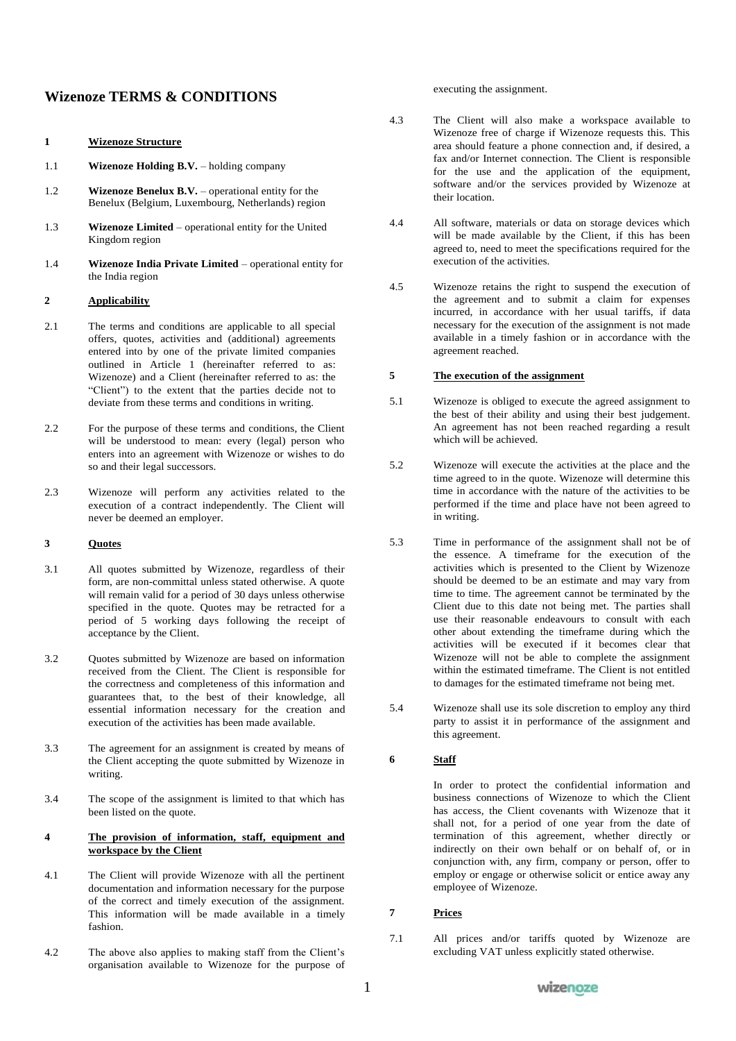# **Wizenoze TERMS & CONDITIONS**

#### **1 Wizenoze Structure**

- 1.1 **Wizenoze Holding B.V.** holding company
- 1.2 **Wizenoze Benelux B.V.** operational entity for the Benelux (Belgium, Luxembourg, Netherlands) region
- 1.3 **Wizenoze Limited** operational entity for the United Kingdom region
- 1.4 **Wizenoze India Private Limited** operational entity for the India region

#### **2 Applicability**

- 2.1 The terms and conditions are applicable to all special offers, quotes, activities and (additional) agreements entered into by one of the private limited companies outlined in Article 1 (hereinafter referred to as: Wizenoze) and a Client (hereinafter referred to as: the "Client") to the extent that the parties decide not to deviate from these terms and conditions in writing.
- 2.2 For the purpose of these terms and conditions, the Client will be understood to mean: every (legal) person who enters into an agreement with Wizenoze or wishes to do so and their legal successors.
- 2.3 Wizenoze will perform any activities related to the execution of a contract independently. The Client will never be deemed an employer.

#### **3 Quotes**

- 3.1 All quotes submitted by Wizenoze, regardless of their form, are non-committal unless stated otherwise. A quote will remain valid for a period of 30 days unless otherwise specified in the quote. Quotes may be retracted for a period of 5 working days following the receipt of acceptance by the Client.
- 3.2 Quotes submitted by Wizenoze are based on information received from the Client. The Client is responsible for the correctness and completeness of this information and guarantees that, to the best of their knowledge, all essential information necessary for the creation and execution of the activities has been made available.
- 3.3 The agreement for an assignment is created by means of the Client accepting the quote submitted by Wizenoze in writing.
- 3.4 The scope of the assignment is limited to that which has been listed on the quote.

#### **4 The provision of information, staff, equipment and workspace by the Client**

- 4.1 The Client will provide Wizenoze with all the pertinent documentation and information necessary for the purpose of the correct and timely execution of the assignment. This information will be made available in a timely fashion.
- 4.2 The above also applies to making staff from the Client's organisation available to Wizenoze for the purpose of

executing the assignment.

- 4.3 The Client will also make a workspace available to Wizenoze free of charge if Wizenoze requests this. This area should feature a phone connection and, if desired, a fax and/or Internet connection. The Client is responsible for the use and the application of the equipment, software and/or the services provided by Wizenoze at their location.
- 4.4 All software, materials or data on storage devices which will be made available by the Client, if this has been agreed to, need to meet the specifications required for the execution of the activities.
- 4.5 Wizenoze retains the right to suspend the execution of the agreement and to submit a claim for expenses incurred, in accordance with her usual tariffs, if data necessary for the execution of the assignment is not made available in a timely fashion or in accordance with the agreement reached.

## **5 The execution of the assignment**

- 5.1 Wizenoze is obliged to execute the agreed assignment to the best of their ability and using their best judgement. An agreement has not been reached regarding a result which will be achieved.
- 5.2 Wizenoze will execute the activities at the place and the time agreed to in the quote. Wizenoze will determine this time in accordance with the nature of the activities to be performed if the time and place have not been agreed to in writing.
- 5.3 Time in performance of the assignment shall not be of the essence. A timeframe for the execution of the activities which is presented to the Client by Wizenoze should be deemed to be an estimate and may vary from time to time. The agreement cannot be terminated by the Client due to this date not being met. The parties shall use their reasonable endeavours to consult with each other about extending the timeframe during which the activities will be executed if it becomes clear that Wizenoze will not be able to complete the assignment within the estimated timeframe. The Client is not entitled to damages for the estimated timeframe not being met.
- 5.4 Wizenoze shall use its sole discretion to employ any third party to assist it in performance of the assignment and this agreement.

#### **6 Staff**

In order to protect the confidential information and business connections of Wizenoze to which the Client has access, the Client covenants with Wizenoze that it shall not, for a period of one year from the date of termination of this agreement, whether directly or indirectly on their own behalf or on behalf of, or in conjunction with, any firm, company or person, offer to employ or engage or otherwise solicit or entice away any employee of Wizenoze.

#### **7 Prices**

7.1 All prices and/or tariffs quoted by Wizenoze are excluding VAT unless explicitly stated otherwise.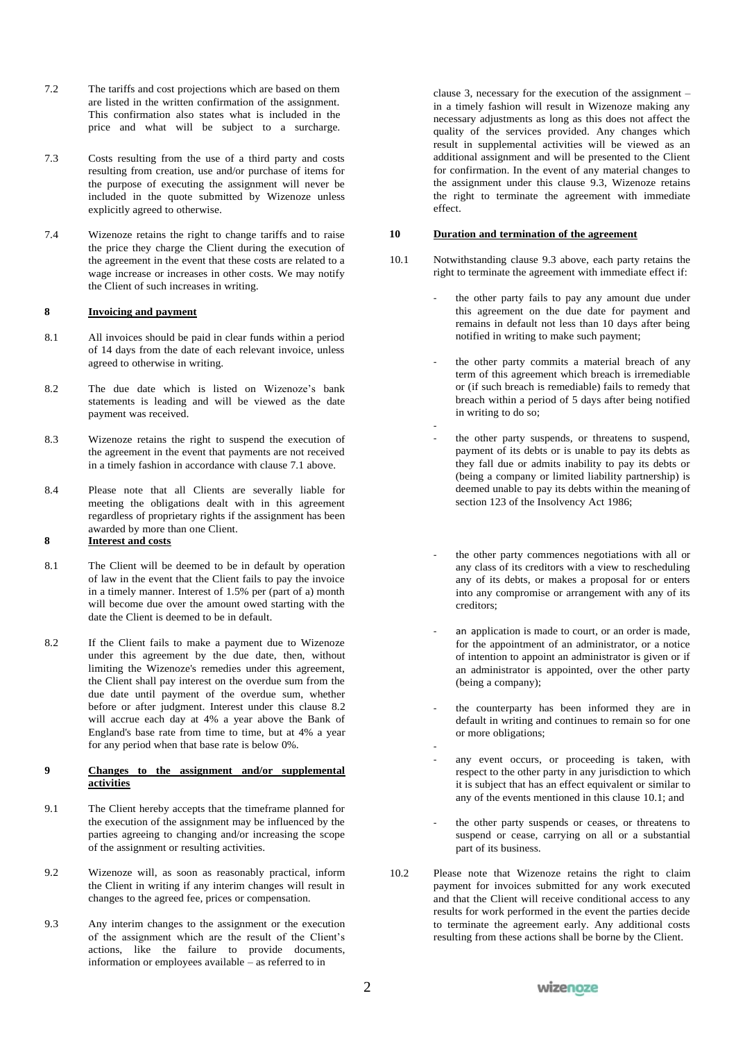- 7.2 The tariffs and cost projections which are based on them are listed in the written confirmation of the assignment. This confirmation also states what is included in the price and what will be subject to a surcharge.
- 7.3 Costs resulting from the use of a third party and costs resulting from creation, use and/or purchase of items for the purpose of executing the assignment will never be included in the quote submitted by Wizenoze unless explicitly agreed to otherwise.
- 7.4 Wizenoze retains the right to change tariffs and to raise the price they charge the Client during the execution of the agreement in the event that these costs are related to a wage increase or increases in other costs. We may notify the Client of such increases in writing.

#### **8 Invoicing and payment**

- 8.1 All invoices should be paid in clear funds within a period of 14 days from the date of each relevant invoice, unless agreed to otherwise in writing.
- 8.2 The due date which is listed on Wizenoze's bank statements is leading and will be viewed as the date payment was received.
- 8.3 Wizenoze retains the right to suspend the execution of the agreement in the event that payments are not received in a timely fashion in accordance with clause 7.1 above.
- 8.4 Please note that all Clients are severally liable for meeting the obligations dealt with in this agreement regardless of proprietary rights if the assignment has been awarded by more than one Client.

# **8 Interest and costs**

- 8.1 The Client will be deemed to be in default by operation of law in the event that the Client fails to pay the invoice in a timely manner. Interest of 1.5% per (part of a) month will become due over the amount owed starting with the date the Client is deemed to be in default.
- 8.2 If the Client fails to make a payment due to Wizenoze under this agreement by the due date, then, without limiting the Wizenoze's remedies under this agreement, the Client shall pay interest on the overdue sum from the due date until payment of the overdue sum, whether before or after judgment. Interest under this clause 8.2 will accrue each day at 4% a year above the Bank of England's base rate from time to time, but at 4% a year for any period when that base rate is below 0%.

#### **9 Changes to the assignment and/or supplemental activities**

- 9.1 The Client hereby accepts that the timeframe planned for the execution of the assignment may be influenced by the parties agreeing to changing and/or increasing the scope of the assignment or resulting activities.
- 9.2 Wizenoze will, as soon as reasonably practical, inform the Client in writing if any interim changes will result in changes to the agreed fee, prices or compensation.
- 9.3 Any interim changes to the assignment or the execution of the assignment which are the result of the Client's actions, like the failure to provide documents, information or employees available – as referred to in

clause 3, necessary for the execution of the assignment – in a timely fashion will result in Wizenoze making any necessary adjustments as long as this does not affect the quality of the services provided. Any changes which result in supplemental activities will be viewed as an additional assignment and will be presented to the Client for confirmation. In the event of any material changes to the assignment under this clause 9.3, Wizenoze retains the right to terminate the agreement with immediate effect.

### **10 Duration and termination of the agreement**

- 10.1 Notwithstanding clause 9.3 above, each party retains the right to terminate the agreement with immediate effect if:
	- the other party fails to pay any amount due under this agreement on the due date for payment and remains in default not less than 10 days after being notified in writing to make such payment;
	- the other party commits a material breach of any term of this agreement which breach is irremediable or (if such breach is remediable) fails to remedy that breach within a period of 5 days after being notified in writing to do so;
	- the other party suspends, or threatens to suspend, payment of its debts or is unable to pay its debts as they fall due or admits inability to pay its debts or (being a company or limited liability partnership) is deemed unable to pay its debts within the meaning of section 123 of the Insolvency Act 1986;
	- the other party commences negotiations with all or any class of its creditors with a view to rescheduling any of its debts, or makes a proposal for or enters into any compromise or arrangement with any of its creditors;
	- an application is made to court, or an order is made, for the appointment of an administrator, or a notice of intention to appoint an administrator is given or if an administrator is appointed, over the other party (being a company);
	- the counterparty has been informed they are in default in writing and continues to remain so for one or more obligations;
	- any event occurs, or proceeding is taken, with respect to the other party in any jurisdiction to which it is subject that has an effect equivalent or similar to any of the events mentioned in this clause 10.1; and
	- the other party suspends or ceases, or threatens to suspend or cease, carrying on all or a substantial part of its business.
- 10.2 Please note that Wizenoze retains the right to claim payment for invoices submitted for any work executed and that the Client will receive conditional access to any results for work performed in the event the parties decide to terminate the agreement early. Any additional costs resulting from these actions shall be borne by the Client.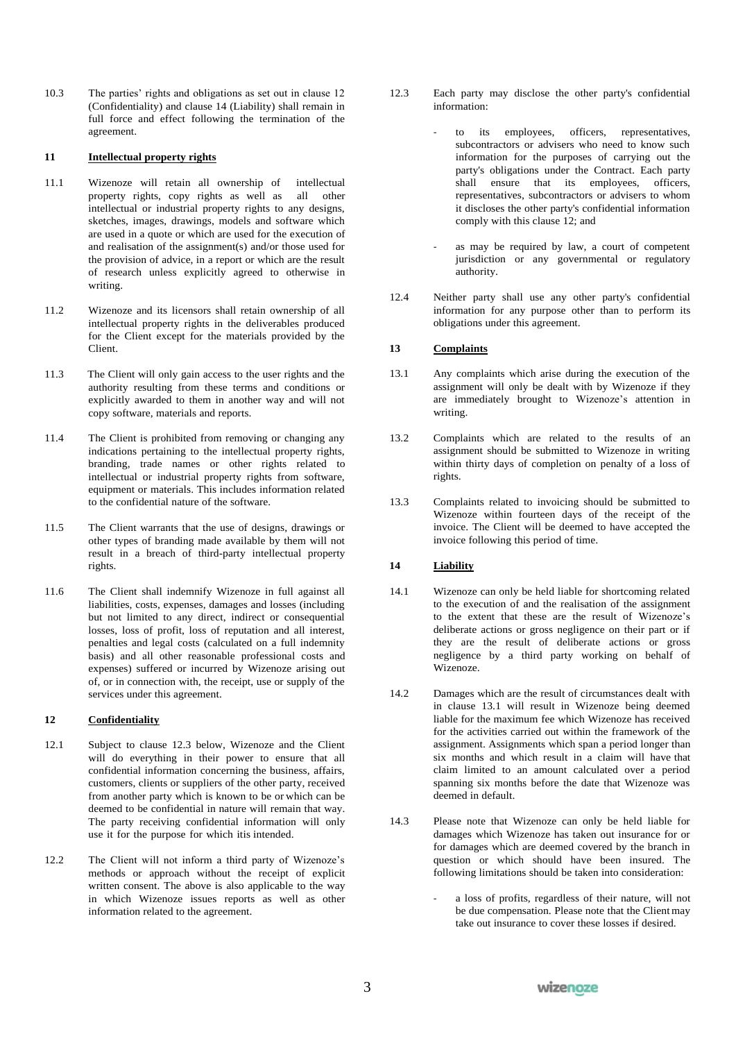10.3 The parties' rights and obligations as set out in clause 12 (Confidentiality) and clause 14 (Liability) shall remain in full force and effect following the termination of the agreement.

# **11 Intellectual property rights**

- 11.1 Wizenoze will retain all ownership of intellectual<br>property rights, copy rights as well as all other property rights, copy rights as well as intellectual or industrial property rights to any designs, sketches, images, drawings, models and software which are used in a quote or which are used for the execution of and realisation of the assignment(s) and/or those used for the provision of advice, in a report or which are the result of research unless explicitly agreed to otherwise in writing.
- 11.2 Wizenoze and its licensors shall retain ownership of all intellectual property rights in the deliverables produced for the Client except for the materials provided by the Client.
- 11.3 The Client will only gain access to the user rights and the authority resulting from these terms and conditions or explicitly awarded to them in another way and will not copy software, materials and reports.
- 11.4 The Client is prohibited from removing or changing any indications pertaining to the intellectual property rights, branding, trade names or other rights related to intellectual or industrial property rights from software, equipment or materials. This includes information related to the confidential nature of the software.
- 11.5 The Client warrants that the use of designs, drawings or other types of branding made available by them will not result in a breach of third-party intellectual property rights.
- 11.6 The Client shall indemnify Wizenoze in full against all liabilities, costs, expenses, damages and losses (including but not limited to any direct, indirect or consequential losses, loss of profit, loss of reputation and all interest, penalties and legal costs (calculated on a full indemnity basis) and all other reasonable professional costs and expenses) suffered or incurred by Wizenoze arising out of, or in connection with, the receipt, use or supply of the services under this agreement.

# **12 Confidentiality**

- 12.1 Subject to clause 12.3 below, Wizenoze and the Client will do everything in their power to ensure that all confidential information concerning the business, affairs, customers, clients or suppliers of the other party, received from another party which is known to be or which can be deemed to be confidential in nature will remain that way. The party receiving confidential information will only use it for the purpose for which itis intended.
- 12.2 The Client will not inform a third party of Wizenoze's methods or approach without the receipt of explicit written consent. The above is also applicable to the way in which Wizenoze issues reports as well as other information related to the agreement.
- 12.3 Each party may disclose the other party's confidential information:
	- to its employees, officers, representatives, subcontractors or advisers who need to know such information for the purposes of carrying out the party's obligations under the Contract. Each party shall ensure that its employees, officers, representatives, subcontractors or advisers to whom it discloses the other party's confidential information comply with this clause 12; and
	- as may be required by law, a court of competent jurisdiction or any governmental or regulatory authority.
- 12.4 Neither party shall use any other party's confidential information for any purpose other than to perform its obligations under this agreement.

# **13 Complaints**

- 13.1 Any complaints which arise during the execution of the assignment will only be dealt with by Wizenoze if they are immediately brought to Wizenoze's attention in writing.
- 13.2 Complaints which are related to the results of an assignment should be submitted to Wizenoze in writing within thirty days of completion on penalty of a loss of rights.
- 13.3 Complaints related to invoicing should be submitted to Wizenoze within fourteen days of the receipt of the invoice. The Client will be deemed to have accepted the invoice following this period of time.

#### **14 Liability**

- 14.1 Wizenoze can only be held liable for shortcoming related to the execution of and the realisation of the assignment to the extent that these are the result of Wizenoze's deliberate actions or gross negligence on their part or if they are the result of deliberate actions or gross negligence by a third party working on behalf of Wizenoze.
- 14.2 Damages which are the result of circumstances dealt with in clause 13.1 will result in Wizenoze being deemed liable for the maximum fee which Wizenoze has received for the activities carried out within the framework of the assignment. Assignments which span a period longer than six months and which result in a claim will have that claim limited to an amount calculated over a period spanning six months before the date that Wizenoze was deemed in default.
- 14.3 Please note that Wizenoze can only be held liable for damages which Wizenoze has taken out insurance for or for damages which are deemed covered by the branch in question or which should have been insured. The following limitations should be taken into consideration:
	- a loss of profits, regardless of their nature, will not be due compensation. Please note that the Client may take out insurance to cover these losses if desired.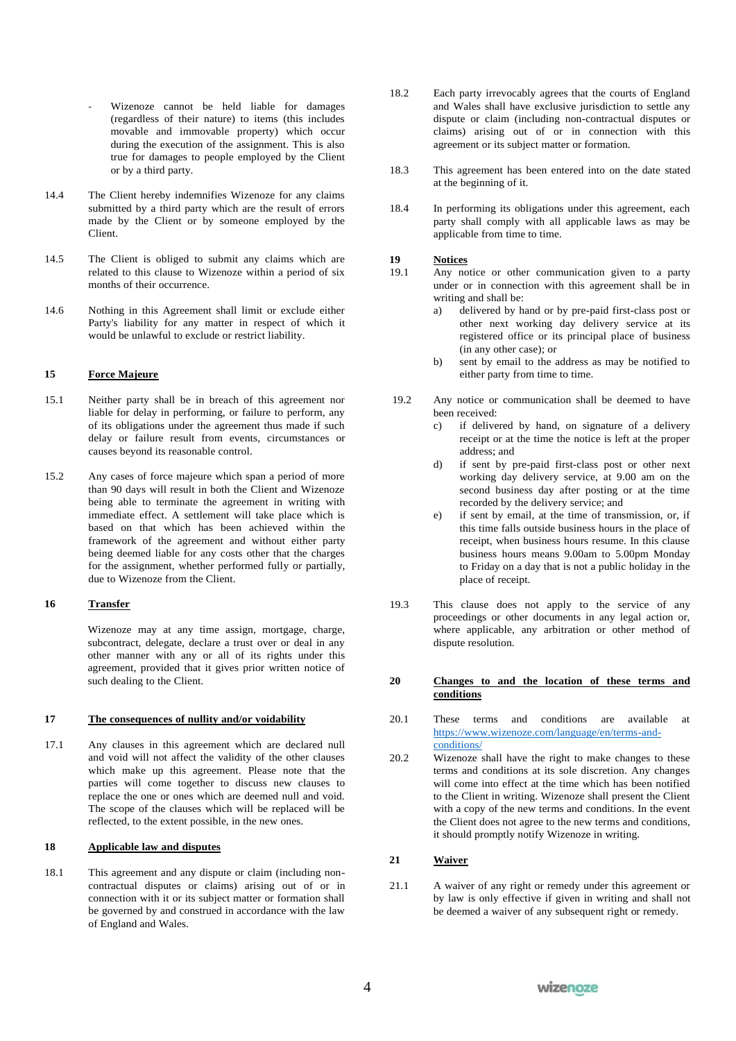- Wizenoze cannot be held liable for damages (regardless of their nature) to items (this includes movable and immovable property) which occur during the execution of the assignment. This is also true for damages to people employed by the Client or by a third party.
- 14.4 The Client hereby indemnifies Wizenoze for any claims submitted by a third party which are the result of errors made by the Client or by someone employed by the Client.
- 14.5 The Client is obliged to submit any claims which are related to this clause to Wizenoze within a period of six months of their occurrence.
- 14.6 Nothing in this Agreement shall limit or exclude either Party's liability for any matter in respect of which it would be unlawful to exclude or restrict liability.

#### **15 Force Majeure**

- 15.1 Neither party shall be in breach of this agreement nor liable for delay in performing, or failure to perform, any of its obligations under the agreement thus made if such delay or failure result from events, circumstances or causes beyond its reasonable control.
- 15.2 Any cases of force majeure which span a period of more than 90 days will result in both the Client and Wizenoze being able to terminate the agreement in writing with immediate effect. A settlement will take place which is based on that which has been achieved within the framework of the agreement and without either party being deemed liable for any costs other that the charges for the assignment, whether performed fully or partially, due to Wizenoze from the Client.

#### **16 Transfer**

Wizenoze may at any time assign, mortgage, charge, subcontract, delegate, declare a trust over or deal in any other manner with any or all of its rights under this agreement, provided that it gives prior written notice of such dealing to the Client.

#### **17 The consequences of nullity and/or voidability**

17.1 Any clauses in this agreement which are declared null and void will not affect the validity of the other clauses which make up this agreement. Please note that the parties will come together to discuss new clauses to replace the one or ones which are deemed null and void. The scope of the clauses which will be replaced will be reflected, to the extent possible, in the new ones.

## **18 Applicable law and disputes**

18.1 This agreement and any dispute or claim (including noncontractual disputes or claims) arising out of or in connection with it or its subject matter or formation shall be governed by and construed in accordance with the law of England and Wales.

- 18.2 Each party irrevocably agrees that the courts of England and Wales shall have exclusive jurisdiction to settle any dispute or claim (including non-contractual disputes or claims) arising out of or in connection with this agreement or its subject matter or formation.
- 18.3 This agreement has been entered into on the date stated at the beginning of it.
- 18.4 In performing its obligations under this agreement, each party shall comply with all applicable laws as may be applicable from time to time.

# **19 Notices**

- Any notice or other communication given to a party under or in connection with this agreement shall be in writing and shall be:
	- a) delivered by hand or by pre-paid first-class post or other next working day delivery service at its registered office or its principal place of business (in any other case); or
	- b) sent by email to the address as may be notified to either party from time to time.
- 19.2 Any notice or communication shall be deemed to have been received:
	- c) if delivered by hand, on signature of a delivery receipt or at the time the notice is left at the proper address; and
	- d) if sent by pre-paid first-class post or other next working day delivery service, at 9.00 am on the second business day after posting or at the time recorded by the delivery service; and
	- e) if sent by email, at the time of transmission, or, if this time falls outside business hours in the place of receipt, when business hours resume. In this clause business hours means 9.00am to 5.00pm Monday to Friday on a day that is not a public holiday in the place of receipt.
- 19.3 This clause does not apply to the service of any proceedings or other documents in any legal action or, where applicable, any arbitration or other method of dispute resolution.

#### **20 Changes to and the location of these terms and conditions**

- 20.1 These terms and conditions are available at https:[//www.wizenoze.com/language/en/terms-and](http://www.wizenoze.com/language/en/terms-and-)conditions/
- 20.2 Wizenoze shall have the right to make changes to these terms and conditions at its sole discretion. Any changes will come into effect at the time which has been notified to the Client in writing. Wizenoze shall present the Client with a copy of the new terms and conditions. In the event the Client does not agree to the new terms and conditions, it should promptly notify Wizenoze in writing.

# **21 Waiver**

21.1 A waiver of any right or remedy under this agreement or by law is only effective if given in writing and shall not be deemed a waiver of any subsequent right or remedy.